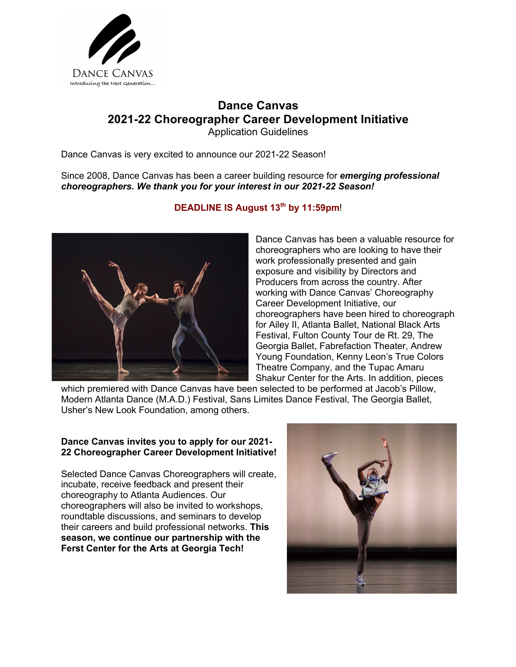

# **Dance Canvas 2021-22 Choreographer Career Development Initiative** Application Guidelines

Dance Canvas is very excited to announce our 2021-22 Season!

Since 2008, Dance Canvas has been a career building resource for *emerging professional choreographers. We thank you for your interest in our 2021-22 Season!* 



## **DEADLINE IS August 13th by 11:59pm**!

Dance Canvas has been a valuable resource for choreographers who are looking to have their work professionally presented and gain exposure and visibility by Directors and Producers from across the country. After working with Dance Canvas' Choreography Career Development Initiative, our choreographers have been hired to choreograph for Ailey II, Atlanta Ballet, National Black Arts Festival, Fulton County Tour de Rt. 29, The Georgia Ballet, Fabrefaction Theater, Andrew Young Foundation, Kenny Leon's True Colors Theatre Company, and the Tupac Amaru Shakur Center for the Arts. In addition, pieces

which premiered with Dance Canvas have been selected to be performed at Jacob's Pillow, Modern Atlanta Dance (M.A.D.) Festival, Sans Limites Dance Festival, The Georgia Ballet, Usher's New Look Foundation, among others.

## **Dance Canvas invites you to apply for our 2021- 22 Choreographer Career Development Initiative!**

Selected Dance Canvas Choreographers will create, incubate, receive feedback and present their choreography to Atlanta Audiences. Our choreographers will also be invited to workshops, roundtable discussions, and seminars to develop their careers and build professional networks. **This season, we continue our partnership with the Ferst Center for the Arts at Georgia Tech!** 

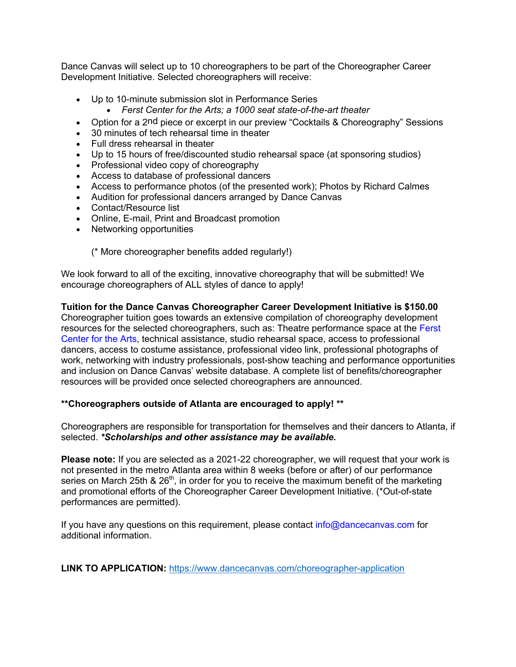Dance Canvas will select up to 10 choreographers to be part of the Choreographer Career Development Initiative. Selected choreographers will receive:

- Up to 10-minute submission slot in Performance Series
	- *Ferst Center for the Arts; a 1000 seat state-of-the-art theater*
- Option for a 2nd piece or excerpt in our preview "Cocktails & Choreography" Sessions
- 30 minutes of tech rehearsal time in theater
- Full dress rehearsal in theater
- Up to 15 hours of free/discounted studio rehearsal space (at sponsoring studios)
- Professional video copy of choreography
- Access to database of professional dancers
- Access to performance photos (of the presented work); Photos by Richard Calmes
- Audition for professional dancers arranged by Dance Canvas
- Contact/Resource list
- Online, E-mail, Print and Broadcast promotion
- Networking opportunities

(\* More choreographer benefits added regularly!)

We look forward to all of the exciting, innovative choreography that will be submitted! We encourage choreographers of ALL styles of dance to apply!

**Tuition for the Dance Canvas Choreographer Career Development Initiative is \$150.00** Choreographer tuition goes towards an extensive compilation of choreography development resources for the selected choreographers, such as: Theatre performance space at the Ferst Center for the Arts, technical assistance, studio rehearsal space, access to professional dancers, access to costume assistance, professional video link, professional photographs of work, networking with industry professionals, post-show teaching and performance opportunities and inclusion on Dance Canvas' website database. A complete list of benefits/choreographer resources will be provided once selected choreographers are announced.

## **\*\*Choreographers outside of Atlanta are encouraged to apply! \*\***

Choreographers are responsible for transportation for themselves and their dancers to Atlanta, if selected. *\*Scholarships and other assistance may be available.*

**Please note:** If you are selected as a 2021-22 choreographer, we will request that your work is not presented in the metro Atlanta area within 8 weeks (before or after) of our performance series on March 25th &  $26<sup>th</sup>$ , in order for you to receive the maximum benefit of the marketing and promotional efforts of the Choreographer Career Development Initiative. (\*Out-of-state performances are permitted).

If you have any questions on this requirement, please contact info@dancecanvas.com for additional information.

**LINK TO APPLICATION:** https://www.dancecanvas.com/choreographer-application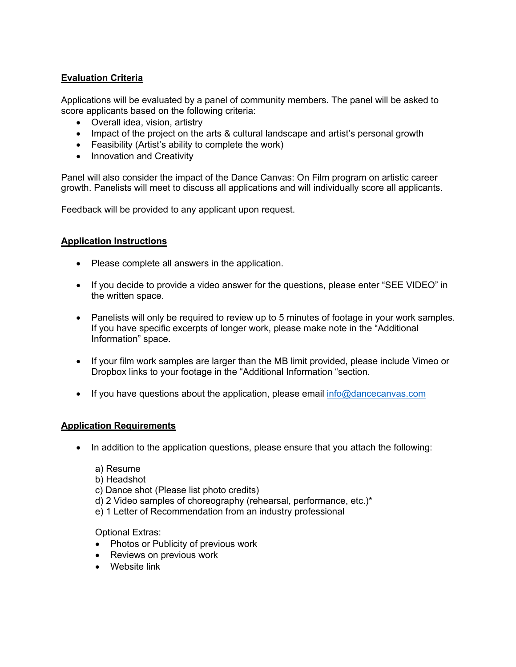# **Evaluation Criteria**

Applications will be evaluated by a panel of community members. The panel will be asked to score applicants based on the following criteria:

- Overall idea, vision, artistry
- Impact of the project on the arts & cultural landscape and artist's personal growth
- Feasibility (Artist's ability to complete the work)
- Innovation and Creativity

Panel will also consider the impact of the Dance Canvas: On Film program on artistic career growth. Panelists will meet to discuss all applications and will individually score all applicants.

Feedback will be provided to any applicant upon request.

#### **Application Instructions**

- Please complete all answers in the application.
- If you decide to provide a video answer for the questions, please enter "SEE VIDEO" in the written space.
- Panelists will only be required to review up to 5 minutes of footage in your work samples. If you have specific excerpts of longer work, please make note in the "Additional Information" space.
- If your film work samples are larger than the MB limit provided, please include Vimeo or Dropbox links to your footage in the "Additional Information "section.
- If you have questions about the application, please email  $info@dancecanvas.com$

#### **Application Requirements**

- In addition to the application questions, please ensure that you attach the following:
	- a) Resume
	- b) Headshot
	- c) Dance shot (Please list photo credits)
	- d) 2 Video samples of choreography (rehearsal, performance, etc.)\*
	- e) 1 Letter of Recommendation from an industry professional

Optional Extras:

- Photos or Publicity of previous work
- Reviews on previous work
- Website link